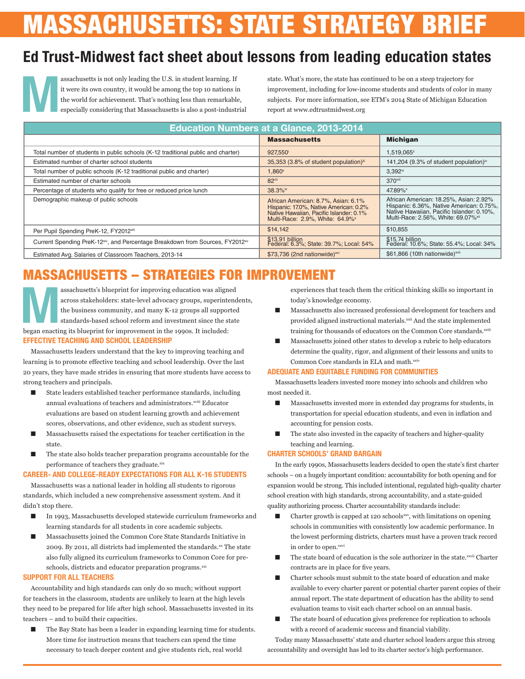# **MASSACHUSETTS: STATE STRATEGY BRI**

# **Ed Trust-Midwest fact sheet about lessons from leading education states**

assachusetts is not only leading the U.S. in student learning. If<br>it were its own country, it would be among the top 10 nations is<br>the world for achievement. That's nothing less than remarkable<br>especially considering that it were its own country, it would be among the top 10 nations in the world for achievement. That's nothing less than remarkable, especially considering that Massachusetts is also a post-industrial

state. What's more, the state has continued to be on a steep trajectory for improvement, including for low-income students and students of color in many subjects. For more information, see ETM's 2014 State of Michigan Education report at www.edtrustmidwest.org

| <b>Education Numbers at a Glance, 2013-2014</b>                                                       |                                                                                                                                                             |                                                                                                                                                                                    |
|-------------------------------------------------------------------------------------------------------|-------------------------------------------------------------------------------------------------------------------------------------------------------------|------------------------------------------------------------------------------------------------------------------------------------------------------------------------------------|
|                                                                                                       | <b>Massachusetts</b>                                                                                                                                        | <b>Michigan</b>                                                                                                                                                                    |
| Total number of students in public schools (K-12 traditional public and charter)                      | 927.550                                                                                                                                                     | 1.519.065ii                                                                                                                                                                        |
| Estimated number of charter school students                                                           | 35,353 (3.8% of student population)"                                                                                                                        | 141,204 (9.3% of student population) <sup>iv</sup>                                                                                                                                 |
| Total number of public schools (K-12 traditional public and charter)                                  | 1,860 <sup>v</sup>                                                                                                                                          | $3,392$ <sup>vi</sup>                                                                                                                                                              |
| Estimated number of charter schools                                                                   | 82vii                                                                                                                                                       | 370viii                                                                                                                                                                            |
| Percentage of students who qualify for free or reduced price lunch                                    | $38.3%$ <sup>ix</sup>                                                                                                                                       | 47.89% <sup>x</sup>                                                                                                                                                                |
| Demographic makeup of public schools                                                                  | African American: 8.7%, Asian: 6.1%<br>Hispanic: 17.0%, Native American: 0.2%<br>Native Hawaiian, Pacific Islander: 0.1%<br>Multi-Race: 2.9%. White: 64.9%* | African American: 18.25%, Asian: 2.92%<br>Hispanic: 6.36%, Native American: 0.75%,<br>Native Hawaiian, Pacific Islander: 0.10%,<br>Multi-Race: 2.56%. White: 69.07% <sup>xii</sup> |
| Per Pupil Spending PreK-12, FY2012xiii                                                                | \$14,142                                                                                                                                                    | \$10,855                                                                                                                                                                           |
| Current Spending PreK-12 <sup>xiv</sup> , and Percentage Breakdown from Sources, FY2012 <sup>xv</sup> | \$13.91 billion<br>Federal: 6.3%; State: 39.7%; Local: 54%                                                                                                  | \$15.74 billion<br>Federal: 10.6%; State: 55.4%; Local: 34%                                                                                                                        |
| Estimated Avg. Salaries of Classroom Teachers, 2013-14                                                | \$73,736 (2nd nationwide) <sup>xvi</sup>                                                                                                                    | \$61,866 (10th nationwide) <sup>xvii</sup>                                                                                                                                         |

# MASSACHUSETTS – STRATEGIES FOR IMPROVEMENT

assachusetts's blueprint for improving education was aligned across stakeholders: state-level advocacy groups, superintend the business community, and many K-12 groups all supported standards-based school reform and invest across stakeholders: state-level advocacy groups, superintendents, the business community, and many K-12 groups all supported standards-based school reform and investment since the state began enacting its blueprint for improvement in the 1990s. It included: **EFFECTIVE TEACHING AND SCHOOL LEADERSHIP**

Massachusetts leaders understand that the key to improving teaching and learning is to promote effective teaching and school leadership. Over the last 20 years, they have made strides in ensuring that more students have access to strong teachers and principals.

- State leaders established teacher performance standards, including annual evaluations of teachers and administrators.<sup>xviii</sup> Educator evaluations are based on student learning growth and achievement scores, observations, and other evidence, such as student surveys.
- Massachusetts raised the expectations for teacher certification in the state.
- The state also holds teacher preparation programs accountable for the performance of teachers they graduate.xix

### **CAREER- AND COLLEGE-READY EXPECTATIONS FOR ALL K-16 STUDENTS**

Massachusetts was a national leader in holding all students to rigorous standards, which included a new comprehensive assessment system. And it didn't stop there.

- In 1993, Massachusetts developed statewide curriculum frameworks and learning standards for all students in core academic subjects.
- Massachusetts joined the Common Core State Standards Initiative in 2009. By 2011, all districts had implemented the standards.xx The state also fully aligned its curriculum frameworks to Common Core for preschools, districts and educator preparation programs.<sup>xxi</sup>

#### **SUPPORT FOR ALL TEACHERS**

Accountability and high standards can only do so much; without support for teachers in the classroom, students are unlikely to learn at the high levels they need to be prepared for life after high school. Massachusetts invested in its teachers – and to build their capacities.

The Bay State has been a leader in expanding learning time for students. More time for instruction means that teachers can spend the time necessary to teach deeper content and give students rich, real world

experiences that teach them the critical thinking skills so important in today's knowledge economy.

- Massachusetts also increased professional development for teachers and provided aligned instructional materials.<sup>xxii</sup> And the state implemented training for thousands of educators on the Common Core standards.<sup>xxiii</sup>
- Massachusetts joined other states to develop a rubric to help educators determine the quality, rigor, and alignment of their lessons and units to Common Core standards in ELA and math.xxiv

#### **ADEQUATE AND EQUITABLE FUNDING FOR COMMUNITIES**

Massachusetts leaders invested more money into schools and children who most needed it.

- Massachusetts invested more in extended day programs for students, in transportation for special education students, and even in inflation and accounting for pension costs.
- The state also invested in the capacity of teachers and higher-quality teaching and learning.

#### **CHARTER SCHOOLS' GRAND BARGAIN**

In the early 1990s, Massachusetts leaders decided to open the state's first charter schools – on a hugely important condition: accountability for both opening and for expansion would be strong. This included intentional, regulated high-quality charter school creation with high standards, strong accountability, and a state-guided quality authorizing process. Charter accountability standards include:

- Charter growth is capped at 120 schools $xxy$ , with limitations on opening schools in communities with consistently low academic performance. In the lowest performing districts, charters must have a proven track record in order to open.xxvi
- The state board of education is the sole authorizer in the state.<sup>xxvii</sup> Charter contracts are in place for five years.
- Charter schools must submit to the state board of education and make available to every charter parent or potential charter parent copies of their annual report. The state department of education has the ability to send evaluation teams to visit each charter school on an annual basis.
- The state board of education gives preference for replication to schools with a record of academic success and financial viability.

Today many Massachusetts' state and charter school leaders argue this strong accountability and oversight has led to its charter sector's high performance.